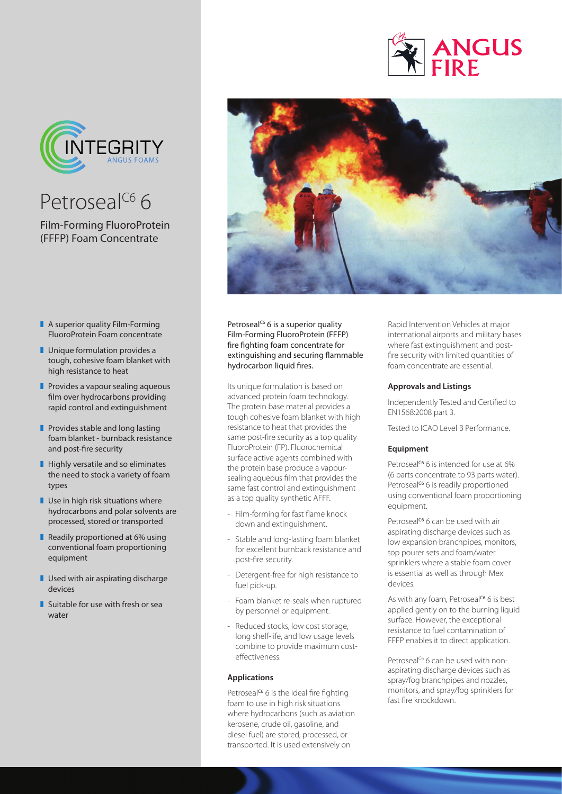

## Petroseal<sup>C6</sup> 6

Film-Forming FluoroProtein (FFFP) Foam Concentrate

- $\blacksquare$  A superior quality Film-Forming FluoroProtein Foam concentrate
- $\blacksquare$  Unique formulation provides a tough, cohesive foam blanket with high resistance to heat
- $\blacksquare$  Provides a vapour sealing aqueous film over hydrocarbons providing rapid control and extinguishment
- $\blacksquare$  Provides stable and long lasting foam blanket - burnback resistance and post-fire security
- $\blacksquare$  Highly versatile and so eliminates the need to stock a variety of foam types
- $\blacksquare$  Use in high risk situations where hydrocarbons and polar solvents are processed, stored or transported
- Readily proportioned at  $6\%$  using conventional foam proportioning equipment
- $\blacksquare$  Used with air aspirating discharge devices
- $\blacksquare$  Suitable for use with fresh or sea water



Petroseal<sup>c6</sup> 6 is a superior quality Film-Forming FluoroProtein (FFFP) fire fighting foam concentrate for extinguishing and securing flammable hydrocarbon liquid fires.

Its unique formulation is based on advanced protein foam technology. The protein base material provides a tough cohesive foam blanket with high resistance to heat that provides the same post-fire security as a top quality FluoroProtein (FP). Fluorochemical surface active agents combined with the protein base produce a vapoursealing aqueous film that provides the same fast control and extinguishment as a top quality synthetic AFFF.

- Film-forming for fast flame knock down and extinguishment.
- Stable and long-lasting foam blanket for excellent burnback resistance and post-fire security.
- Detergent-free for high resistance to fuel pick-up.
- Foam blanket re-seals when ruptured by personnel or equipment.
- Reduced stocks, low cost storage, long shelf-life, and low usage levels combine to provide maximum costeffectiveness.

#### **Applications**

Petroseal<sup>c6</sup> 6 is the ideal fire fighting foam to use in high risk situations where hydrocarbons (such as aviation kerosene, crude oil, gasoline, and diesel fuel) are stored, processed, or transported. It is used extensively on

Rapid Intervention Vehicles at major international airports and military bases where fast extinguishment and postfire security with limited quantities of foam concentrate are essential.

**ANGUS** 

#### **Approvals and Listings**

Independently Tested and Certified to EN1568:2008 part 3.

Tested to ICAO Level B Performance.

#### **Equipment**

Petroseal<sup>c6</sup> 6 is intended for use at  $6\%$ (6 parts concentrate to 93 parts water). Petroseal<sup>c6</sup> 6 is readily proportioned using conventional foam proportioning equipment.

Petroseal<sup>c6</sup> 6 can be used with air aspirating discharge devices such as low expansion branchpipes, monitors, top pourer sets and foam/water sprinklers where a stable foam cover is essential as well as through Mex devices.

As with any foam, Petroseal<sup>c6</sup> 6 is best applied gently on to the burning liquid surface. However, the exceptional resistance to fuel contamination of FFFP enables it to direct application.

Petroseal<sup>c6</sup> 6 can be used with nonaspirating discharge devices such as spray/fog branchpipes and nozzles, monitors, and spray/fog sprinklers for fast fire knockdown.